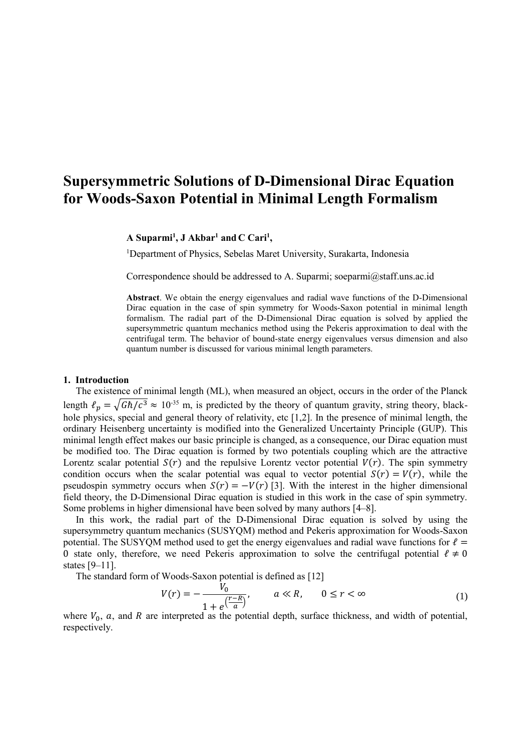# **Supersymmetric Solutions of D-Dimensional Dirac Equation for Woods-Saxon Potential in Minimal Length Formalism**

**A Suparmi<sup>1</sup> , J Akbar<sup>1</sup> and C Cari<sup>1</sup> ,** 

<sup>1</sup>Department of Physics, Sebelas Maret University, Surakarta, Indonesia

Correspondence should be addressed to A. Suparmi; soeparmi@staff.uns.ac.id

**Abstract**. We obtain the energy eigenvalues and radial wave functions of the D-Dimensional Dirac equation in the case of spin symmetry for Woods-Saxon potential in minimal length formalism. The radial part of the D-Dimensional Dirac equation is solved by applied the supersymmetric quantum mechanics method using the Pekeris approximation to deal with the centrifugal term. The behavior of bound-state energy eigenvalues versus dimension and also quantum number is discussed for various minimal length parameters.

#### **1. Introduction**

The existence of minimal length (ML), when measured an object, occurs in the order of the Planck length  $\ell_p = \sqrt{G\hbar/c^3} \approx 10^{-35}$  m, is predicted by the theory of quantum gravity, string theory, blackhole physics, special and general theory of relativity, etc [1,2]. In the presence of minimal length, the ordinary Heisenberg uncertainty is modified into the Generalized Uncertainty Principle (GUP). This minimal length effect makes our basic principle is changed, as a consequence, our Dirac equation must be modified too. The Dirac equation is formed by two potentials coupling which are the attractive Lorentz scalar potential  $S(r)$  and the repulsive Lorentz vector potential  $V(r)$ . The spin symmetry condition occurs when the scalar potential was equal to vector potential  $S(r) = V(r)$ , while the pseudospin symmetry occurs when  $S(r) = -V(r)$  [3]. With the interest in the higher dimensional field theory, the D-Dimensional Dirac equation is studied in this work in the case of spin symmetry. Some problems in higher dimensional have been solved by many authors [4–8].

In this work, the radial part of the D-Dimensional Dirac equation is solved by using the supersymmetry quantum mechanics (SUSYQM) method and Pekeris approximation for Woods-Saxon potential. The SUSYQM method used to get the energy eigenvalues and radial wave functions for  $\ell =$ 0 state only, therefore, we need Pekeris approximation to solve the centrifugal potential  $\ell \neq 0$ states [9–11].

The standard form of Woods-Saxon potential is defined as [12]

$$
V(r) = -\frac{V_0}{1 + e^{\left(\frac{r - R}{a}\right)}}, \qquad a \ll R, \qquad 0 \le r < \infty
$$
 (1)

where  $V_0$ ,  $a$ , and  $R$  are interpreted as the potential depth, surface thickness, and width of potential, respectively.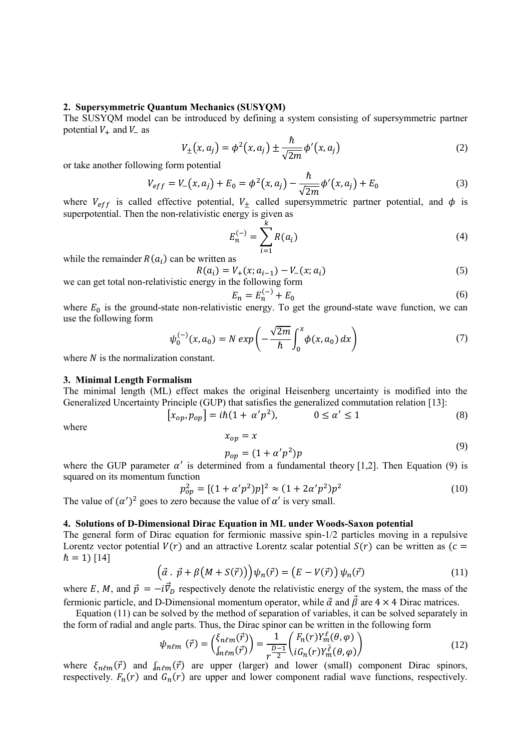### **2. Supersymmetric Quantum Mechanics (SUSYQM)**

The SUSYQM model can be introduced by defining a system consisting of supersymmetric partner potential  $V_+$  and  $V_-$  as

$$
V_{\pm}(x, a_j) = \phi^2(x, a_j) \pm \frac{\hbar}{\sqrt{2m}} \phi'(x, a_j)
$$
 (2)

or take another following form potential

$$
V_{eff} = V_{-}(x, a_{j}) + E_{0} = \phi^{2}(x, a_{j}) - \frac{\hbar}{\sqrt{2m}}\phi'(x, a_{j}) + E_{0}
$$
\n(3)

where  $V_{eff}$  is called effective potential,  $V_{\pm}$  called supersymmetric partner potential, and  $\phi$  is superpotential. Then the non-relativistic energy is given as

$$
E_n^{(-)} = \sum_{i=1}^k R(a_i)
$$
 (4)

while the remainder  $R(a_i)$  can be written as

$$
R(a_i) = V_+(x; a_{i-1}) - V_-(x; a_i)
$$
  
we can get total non-relativistic energy in the following form

$$
E_n = E_n^{(-)} + E_0 \tag{6}
$$

where  $E_0$  is the ground-state non-relativistic energy. To get the ground-state wave function, we can use the following form

$$
\psi_0^{(-)}(x, a_0) = N \exp\left(-\frac{\sqrt{2m}}{\hbar} \int_0^x \phi(x, a_0) dx\right) \tag{7}
$$

where  $N$  is the normalization constant.

#### **3. Minimal Length Formalism**

The minimal length (ML) effect makes the original Heisenberg uncertainty is modified into the Generalized Uncertainty Principle (GUP) that satisfies the generalized commutation relation [13]:

$$
[x_{op}, p_{op}] = i\hbar (1 + \alpha' p^2), \qquad 0 \le \alpha' \le 1
$$
\n(8)

where

$$
x_{op} = x \tag{9}
$$

$$
p_{op} = (1 + \alpha' p^2) p
$$

where the GUP parameter  $\alpha'$  is determined from a fundamental theory [1,2]. Then Equation (9) is squared on its momentum function

$$
p_{op}^2 = [(1 + \alpha' p^2)p]^2 \approx (1 + 2\alpha' p^2)p^2 \tag{10}
$$

The value of  $(\alpha')^2$  goes to zero because the value of  $\alpha'$  is very small.

# **4. Solutions of D-Dimensional Dirac Equation in ML under Woods-Saxon potential**

The general form of Dirac equation for fermionic massive spin-1/2 particles moving in a repulsive Lorentz vector potential  $V(r)$  and an attractive Lorentz scalar potential  $S(r)$  can be written as ( $c =$  $\hbar = 1$ ) [14]

$$
\left(\vec{\alpha} \cdot \vec{p} + \beta \left(M + S(\vec{r})\right)\right) \psi_n(\vec{r}) = \left(E - V(\vec{r})\right) \psi_n(\vec{r}) \tag{11}
$$

where E, M, and  $\vec{p} = -i\vec{v}_D$  respectively denote the relativistic energy of the system, the mass of the fermionic particle, and D-Dimensional momentum operator, while  $\vec{\alpha}$  and  $\vec{\beta}$  are 4 × 4 Dirac matrices.

Equation (11) can be solved by the method of separation of variables, it can be solved separately in the form of radial and angle parts. Thus, the Dirac spinor can be written in the following form

$$
\psi_{n\ell m}(\vec{r}) = \begin{pmatrix} \xi_{n\ell m}(\vec{r}) \\ \int_{n\ell m}(\vec{r}) \end{pmatrix} = \frac{1}{r^{\frac{D-1}{2}}} \begin{pmatrix} F_n(r) Y_m^{\ell}(\theta, \varphi) \\ i G_n(r) Y_m^{\bar{\ell}}(\theta, \varphi) \end{pmatrix}
$$
(12)

where  $\xi_{n\ell m}(\vec{r})$  and  $\int_{n\ell m}(\vec{r})$  are upper (larger) and lower (small) component Dirac spinors, respectively.  $F_n(r)$  and  $G_n(r)$  are upper and lower component radial wave functions, respectively.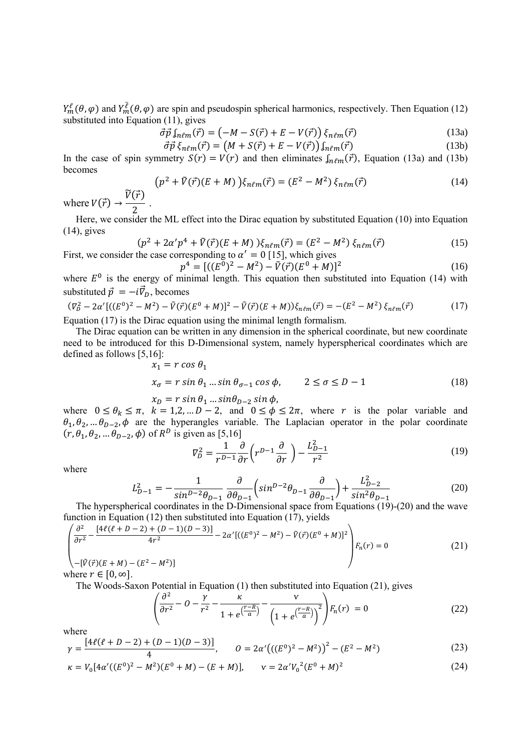$Y_m^{\ell}(\theta,\varphi)$  and  $Y_m^{\overline{\ell}}(\theta,\varphi)$  are spin and pseudospin spherical harmonics, respectively. Then Equation (12) substituted into Equation (11), gives

$$
\vec{\sigma}\vec{p}\int_{n\ell m}(\vec{r}) = \left(-M - S(\vec{r}) + E - V(\vec{r})\right)\xi_{n\ell m}(\vec{r})\tag{13a}
$$

$$
\vec{\sigma}\vec{p}\,\xi_{n\ell m}(\vec{r}) = \left(M + S(\vec{r}) + E - V(\vec{r})\right)\int_{n\ell m}(\vec{r})\tag{13b}
$$

In the case of spin symmetry  $S(r) = V(r)$  and then eliminates  $\int_{n \ell m} (\vec{r})$ , Equation (13a) and (13b) becomes

$$
(p2 + \tilde{V}(\vec{r})(E + M))\xi_{n\ell m}(\vec{r}) = (E2 - M2)\xi_{n\ell m}(\vec{r})
$$
 (14)

where  $V(\vec{r}) \rightarrow$  $\widetilde{V}(\vec{r})$ 2 .

Here, we consider the ML effect into the Dirac equation by substituted Equation (10) into Equation (14), gives

$$
(p2 + 2\alpha'p4 + \tilde{V}(\vec{r})(E + M))\xi_{n\ell m}(\vec{r}) = (E2 - M2)\xi_{n\ell m}(\vec{r})
$$
 (15)  
First, we consider the case corresponding to  $\alpha' = 0$  [15], which gives

$$
p^4 = [((E^0)^2 - M^2) - \tilde{V}(\vec{r})(E^0 + M)]^2
$$
 (16)

where  $E^0$  is the energy of minimal length. This equation then substituted into Equation (14) with substituted  $\vec{p} = -i \vec{v}_D$ , becomes

$$
(\nabla_D^2 - 2\alpha' [((E^0)^2 - M^2) - \tilde{V}(\vec{r})(E^0 + M)]^2 - \tilde{V}(\vec{r})(E + M))\xi_{n\ell m}(\vec{r}) = -(E^2 - M^2)\xi_{n\ell m}(\vec{r})
$$
(17)

Equation (17) is the Dirac equation using the minimal length formalism.

The Dirac equation can be written in any dimension in the spherical coordinate, but new coordinate need to be introduced for this D-Dimensional system, namely hyperspherical coordinates which are defined as follows [5,16]:  $\mu$   $\alpha$   $\alpha$   $\alpha$ 

$$
x_1 = r \cos \theta_1
$$
  
\n
$$
x_{\sigma} = r \sin \theta_1 ... \sin \theta_{\sigma-1} \cos \phi, \qquad 2 \le \sigma \le D - 1
$$
 (18)

$$
x_D = r \sin \theta_1 ... \sin \theta_{D-2} \sin \phi,
$$

where  $0 \le \theta_k \le \pi$ ,  $k = 1,2,..., D-2$ , and  $0 \le \phi \le 2\pi$ , where r is the polar variable and  $\theta_1, \theta_2, ... \theta_{D-2}, \phi$  are the hyperangles variable. The Laplacian operator in the polar coordinate  $(r, \theta_1, \theta_2, \dots \theta_{D-2}, \phi)$  of  $R^D$  is given as [5,16]

$$
\nabla_D^2 = \frac{1}{r^{D-1}} \frac{\partial}{\partial r} \left( r^{D-1} \frac{\partial}{\partial r} \right) - \frac{L_{D-1}^2}{r^2}
$$
\n(19)

where

$$
L_{D-1}^2 = -\frac{1}{\sin^{D-2}\theta_{D-1}} \frac{\partial}{\partial \theta_{D-1}} \left( \sin^{D-2}\theta_{D-1} \frac{\partial}{\partial \theta_{D-1}} \right) + \frac{L_{D-2}^2}{\sin^2\theta_{D-1}} \tag{20}
$$

The hyperspherical coordinates in the D-Dimensional space from Equations (19)-(20) and the wave function in Equation (12) then substituted into Equation (17), yields

$$
\begin{pmatrix}\n\frac{\partial^2}{\partial r^2} - \frac{[4\ell(\ell+D-2)+(D-1)(D-3)]}{4r^2} - 2\alpha' [((E^0)^2 - M^2) - \tilde{V}(\vec{r})(E^0 + M)]^2 \\
-[ \tilde{V}(\vec{r})(E+M) - (E^2 - M^2)]\n\end{pmatrix} F_n(r) = 0
$$
\n(21)

where  $r \in [0, \infty]$ .

The Woods-Saxon Potential in Equation (1) then substituted into Equation (21), gives

$$
\left(\frac{\partial^2}{\partial r^2} - 0 - \frac{\gamma}{r^2} - \frac{\kappa}{1 + e^{\left(\frac{r - R}{a}\right)}} - \frac{\nu}{\left(1 + e^{\left(\frac{r - R}{a}\right)}\right)^2}\right) F_n(r) = 0 \tag{22}
$$

where

$$
\gamma = \frac{[4\ell(\ell+D-2) + (D-1)(D-3)]}{4}, \qquad 0 = 2\alpha'((E^0)^2 - M^2)^2 - (E^2 - M^2)
$$
\n(23)

$$
\kappa = V_0 [4\alpha'((E^0)^2 - M^2)(E^0 + M) - (E + M)], \qquad \mathbf{v} = 2\alpha' V_0{}^2 (E^0 + M)^2 \tag{24}
$$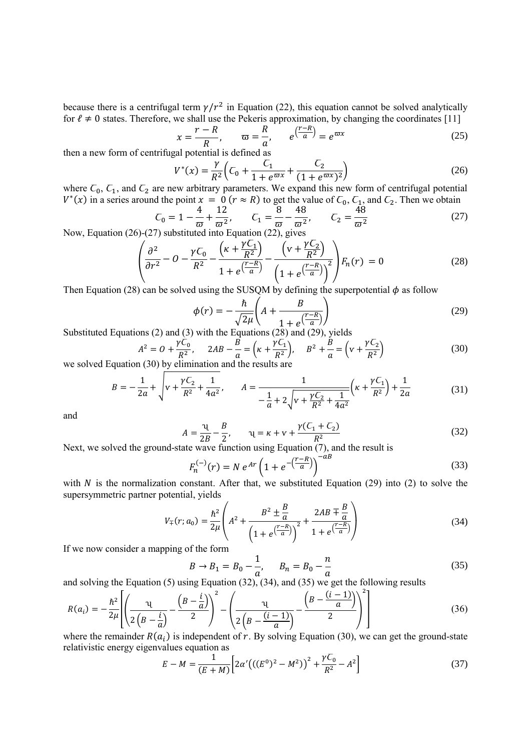because there is a centrifugal term  $\gamma/r^2$  in Equation (22), this equation cannot be solved analytically for  $\ell \neq 0$  states. Therefore, we shall use the Pekeris approximation, by changing the coordinates [11]

$$
x = \frac{r - R}{R}, \qquad \varpi = \frac{R}{a}, \qquad e^{\left(\frac{r - R}{a}\right)} = e^{\varpi x}
$$
 (25)

then a new form of centrifugal potential is defined as

$$
V^*(x) = \frac{\gamma}{R^2} \left( C_0 + \frac{C_1}{1 + e^{\varpi x}} + \frac{C_2}{(1 + e^{\varpi x})^2} \right)
$$
\n
$$
W = \frac{\pi}{R^2} \left( C_0 + \frac{C_1}{1 + e^{\varpi x}} + \frac{C_2}{(1 + e^{\varpi x})^2} \right)
$$
\n
$$
W = \frac{\pi}{R^2} \left( C_0 + \frac{C_1}{1 + e^{\varpi x}} + \frac{C_2}{(1 + e^{\varpi x})^2} \right)
$$
\n
$$
W = \frac{\pi}{R^2} \left( C_0 + \frac{C_1}{1 + e^{\varpi x}} + \frac{C_2}{(1 + e^{\varpi x})^2} \right)
$$
\n
$$
W = \frac{\pi}{R^2} \left( C_0 + \frac{C_1}{1 + e^{\varpi x}} + \frac{C_2}{(1 + e^{\varpi x})^2} \right)
$$
\n
$$
W = \frac{\pi}{R^2} \left( C_0 + \frac{C_1}{1 + e^{\varpi x}} + \frac{C_2}{(1 + e^{\varpi x})^2} \right)
$$
\n
$$
W = \frac{\pi}{R^2} \left( C_0 + \frac{C_1}{1 + e^{\varpi x}} + \frac{C_2}{(1 + e^{\varpi x})^2} \right)
$$
\n
$$
W = \frac{\pi}{R^2} \left( C_0 + \frac{C_1}{1 + e^{\varpi x}} + \frac{C_2}{(1 + e^{\varpi x})^2} \right)
$$
\n
$$
W = \frac{\pi}{R^2} \left( C_0 + \frac{C_1}{1 + e^{\varpi x}} + \frac{C_2}{(1 + e^{\varpi x})^2} \right)
$$
\n
$$
W = \frac{\pi}{R^2} \left( C_0 + \frac{C_1}{1 + e^{\varpi x}} + \frac{C_2}{(1 + e^{\varpi x})^2} \right)
$$
\n
$$
W = \frac{\pi}{R^2} \left( C_0 + \frac{C_1}{1 + e^{\varpi x}} + \frac{C_2}{(1 + e^{\varpi x})^2} \right)
$$
\n
$$
W = \frac{\pi}{R^2} \left( C_0 +
$$

where  $\mathcal{C}_0$ ,  $\mathcal{C}_1$ , and  $\mathcal{C}_2$  are new arbitrary parameters. We expand this new form of centrifugal potential  $V^*(x)$  in a series around the point  $x = 0$  ( $r \approx R$ ) to get the value of  $C_0$ ,  $C_1$ , and  $C_2$ . Then we obtain

$$
C_0 = 1 - \frac{4}{\omega} + \frac{12}{\omega^2}, \qquad C_1 = \frac{8}{\omega} - \frac{48}{\omega^2}, \qquad C_2 = \frac{48}{\omega^2}
$$
 (27)  
(27) substituted into Equation (27) gives

Now, Equation (26)-(27) substituted into Equation (22), gives

$$
\left(\frac{\partial^2}{\partial r^2} - O - \frac{\gamma C_0}{R^2} - \frac{\left(\kappa + \frac{\gamma C_1}{R^2}\right)}{1 + e^{\left(\frac{r - R}{a}\right)}} - \frac{\left(\nu + \frac{\gamma C_2}{R^2}\right)}{\left(1 + e^{\left(\frac{r - R}{a}\right)}\right)^2}\right) F_n(r) = 0
$$
\n(28)

Then Equation (28) can be solved using the SUSQM by defining the superpotential  $\phi$  as follow

$$
\phi(r) = -\frac{\hbar}{\sqrt{2\mu}} \left( A + \frac{B}{1 + e^{\left(\frac{r - R}{a}\right)}} \right)
$$
\n
$$
\text{with the Fermi term (28) and (29)}.
$$
\n(29)

Substituted Equations (2) and (3) with the Equations (28) and (29), yields

$$
A2 = 0 + \frac{\gamma C_0}{R^2}, \quad 2AB - \frac{B}{a} = \left(\kappa + \frac{\gamma C_1}{R^2}\right), \quad B2 + \frac{B}{a} = \left(\nu + \frac{\gamma C_2}{R^2}\right)
$$
(30)

we solved Equation (30) by elimination and the results are

$$
B = -\frac{1}{2a} + \sqrt{v + \frac{\gamma C_2}{R^2} + \frac{1}{4a^2}}, \qquad A = \frac{1}{-\frac{1}{a} + 2\sqrt{v + \frac{\gamma C_2}{R^2} + \frac{1}{4a^2}}} \left(\kappa + \frac{\gamma C_1}{R^2}\right) + \frac{1}{2a}
$$
(31)

and

$$
A = \frac{\nu}{2B} - \frac{B}{2}, \qquad \nu = \kappa + \nu + \frac{\gamma(C_1 + C_2)}{R^2}
$$
 (32)

Next, we solved the ground-state wave function using Equation (7), and the result is

$$
F_n^{(-)}(r) = N e^{Ar} \left( 1 + e^{-\left(\frac{r - R}{a}\right)} \right)^{-aB}
$$
\n(33)

with N is the normalization constant. After that, we substituted Equation (29) into (2) to solve the supersymmetric partner potential, yields

$$
V_{\mp}(r; a_0) = \frac{\hbar^2}{2\mu} \left( A^2 + \frac{B^2 \pm \frac{B}{a}}{\left( 1 + e^{\left(\frac{r - R}{a}\right)}\right)^2} + \frac{2AB \mp \frac{B}{a}}{1 + e^{\left(\frac{r - R}{a}\right)}} \right)
$$
(34)

If we now consider a mapping of the form

$$
B \to B_1 = B_0 - \frac{1}{a}, \qquad B_n = B_0 - \frac{n}{a}
$$
 (35)

and solving the Equation (5) using Equation (32), (34), and (35) we get the following results

$$
R(a_i) = -\frac{\hbar^2}{2\mu} \left[ \left( \frac{\mu}{2\left( B - \frac{i}{a} \right)} - \frac{\left( B - \frac{i}{a} \right)}{2} \right)^2 - \left( \frac{\mu}{2\left( B - \frac{(i-1)}{a} \right)} - \frac{\left( B - \frac{(i-1)}{a} \right)}{2} \right)^2 \right]
$$
(36)

where the remainder  $R(a_i)$  is independent of r. By solving Equation (30), we can get the ground-state relativistic energy eigenvalues equation as

$$
E - M = \frac{1}{(E+M)} \Big[ 2\alpha' \big( \big( (E^0)^2 - M^2 \big) \big)^2 + \frac{\gamma C_0}{R^2} - A^2 \Big] \tag{37}
$$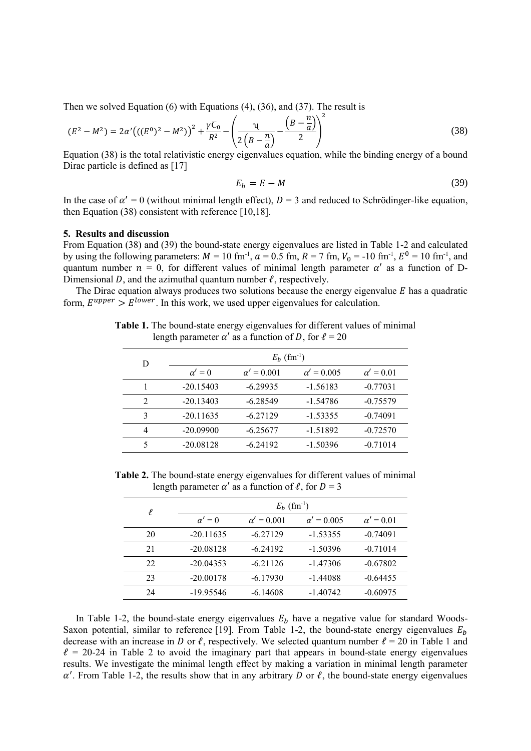Then we solved Equation (6) with Equations (4), (36), and (37). The result is

$$
(E2 - M2) = 2\alpha'((E0)2 - M2))2 + \frac{\gamma C_0}{R2} - \left(\frac{\nu}{2\left(B - \frac{n}{a}\right)} - \frac{\left(B - \frac{n}{a}\right)}{2}\right)^{2}
$$
(38)

Equation (38) is the total relativistic energy eigenvalues equation, while the binding energy of a bound Dirac particle is defined as [17]

$$
E_b = E - M \tag{39}
$$

In the case of  $\alpha' = 0$  (without minimal length effect),  $D = 3$  and reduced to Schrödinger-like equation, then Equation (38) consistent with reference [10,18].

## **5. Results and discussion**

From Equation (38) and (39) the bound-state energy eigenvalues are listed in Table 1-2 and calculated by using the following parameters:  $M = 10$  fm<sup>-1</sup>,  $a = 0.5$  fm,  $R = 7$  fm,  $V_0 = -10$  fm<sup>-1</sup>,  $E^0 = 10$  fm<sup>-1</sup>, and quantum number  $n = 0$ , for different values of minimal length parameter  $\alpha'$  as a function of D-Dimensional D, and the azimuthal quantum number  $\ell$ , respectively.

The Dirac equation always produces two solutions because the energy eigenvalue  $E$  has a quadratic form,  $E^{upper} > E^{lower}$ . In this work, we used upper eigenvalues for calculation.

**Table 1.** The bound-state energy eigenvalues for different values of minimal length parameter  $\alpha'$  as a function of D, for  $\ell = 20$ 

| D                             | $E_b$ (fm <sup>-1</sup> ) |                   |                   |                  |  |
|-------------------------------|---------------------------|-------------------|-------------------|------------------|--|
|                               | $\alpha' = 0$             | $\alpha' = 0.001$ | $\alpha' = 0.005$ | $\alpha' = 0.01$ |  |
|                               | $-20.15403$               | $-6.29935$        | $-1.56183$        | $-0.77031$       |  |
| $\mathfrak{D}_{\mathfrak{p}}$ | $-20.13403$               | $-6.28549$        | $-1.54786$        | $-0.75579$       |  |
| 3                             | $-20.11635$               | $-6.27129$        | $-1.53355$        | $-0.74091$       |  |
| 4                             | $-20.09900$               | $-6.25677$        | $-1.51892$        | $-0.72570$       |  |
| $\sim$                        | $-20.08128$               | $-6.24192$        | $-1.50396$        | $-0.71014$       |  |

**Table 2.** The bound-state energy eigenvalues for different values of minimal length parameter  $\alpha'$  as a function of  $\ell$ , for  $D = 3$ 

| $\ell$ | $E_b$ (fm <sup>-1</sup> ) |                   |                   |                  |  |
|--------|---------------------------|-------------------|-------------------|------------------|--|
|        | $\alpha' = 0$             | $\alpha' = 0.001$ | $\alpha' = 0.005$ | $\alpha' = 0.01$ |  |
| 20     | $-20.11635$               | $-6.27129$        | $-1.53355$        | $-0.74091$       |  |
| 21     | $-20.08128$               | $-6.24192$        | $-1.50396$        | $-0.71014$       |  |
| 22     | $-20.04353$               | $-6.21126$        | $-1.47306$        | $-0.67802$       |  |
| 23     | $-20.00178$               | $-6.17930$        | $-1.44088$        | $-0.64455$       |  |
| 24     | -19.95546                 | $-6.14608$        | $-1.40742$        | $-0.60975$       |  |

In Table 1-2, the bound-state energy eigenvalues  $E_b$  have a negative value for standard Woods-Saxon potential, similar to reference [19]. From Table 1-2, the bound-state energy eigenvalues  $E<sub>h</sub>$ decrease with an increase in D or  $\ell$ , respectively. We selected quantum number  $\ell = 20$  in Table 1 and  $\ell = 20-24$  in Table 2 to avoid the imaginary part that appears in bound-state energy eigenvalues results. We investigate the minimal length effect by making a variation in minimal length parameter  $\alpha'$ . From Table 1-2, the results show that in any arbitrary D or  $\ell$ , the bound-state energy eigenvalues